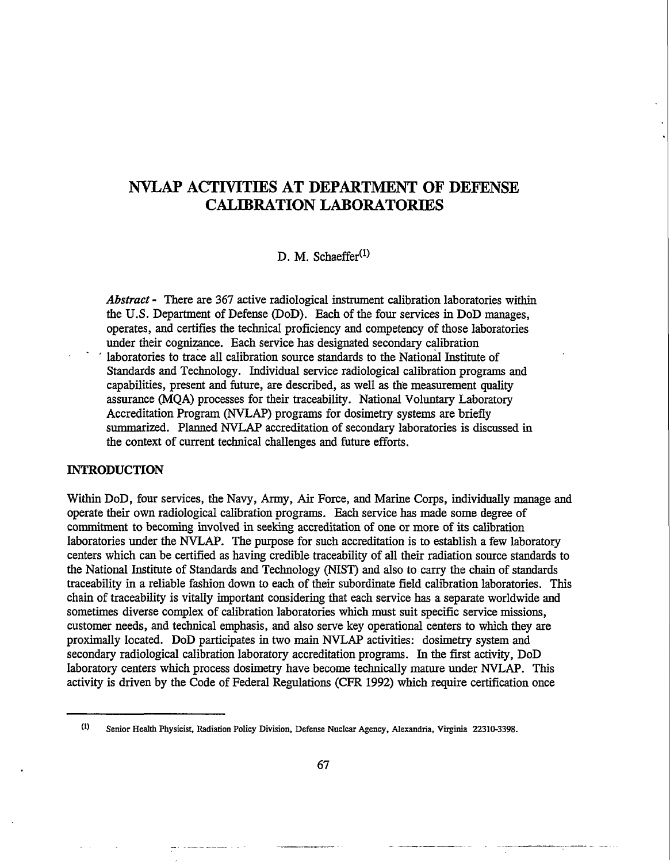# **NVLAP ACTIVITIES AT DEPARTMENT OF DEFENSE CALIBRATION LABORATORIES**

D. M. Schaeffer<sup>(1)</sup>

*Abstract* - There are 367 active radiological instrument calibration laboratories within the U.S. Department of Defense (DoD). Each of the four services in DoD manages, operates, and certifies the technical proficiency and competency of those laboratories under their cognizance. Each service has designated secondary calibration laboratories to trace all calibration source standards to the National Institute of Standards and Technology. Individual service radiological calibration programs and capabilities, present and future, are described, as well as the measurement quality assurance (MQA) processes for their traceability. National Voluntary Laboratory Accreditation Program (NVLAP) programs for dosimetry systems are briefly summarized. Planned NVLAP accreditation of secondary laboratories is discussed in the context of current technical challenges and future efforts.

## **INTRODUCTION**

Within DoD, four services, the Navy, Army, Air Force, and Marine Corps, individually manage and operate their own radiological calibration programs. Each service has made some degree of commitment to becoming involved in seeking accreditation of one or more of its calibration laboratories under the NVLAP. The purpose for such accreditation is to establish a few laboratory centers which can be certified as having credible traceability of all their radiation source standards to the National Institute of Standards and Technology (NIST) and also to carry the chain of standards traceability in a reliable fashion down to each of their subordinate field calibration laboratories. This chain of traceability is vitally important considering that each service has a separate worldwide and sometimes diverse complex of calibration laboratories which must suit specific service missions, customer needs, and technical emphasis, and also serve key operational centers to which they are proximally located. DoD participates in two main NVLAP activities: dosimetry system and secondary radiological calibration laboratory accreditation programs. In the first activity, DoD laboratory centers which process dosimetry have become technically mature under NVLAP. This activity is driven by the Code of Federal Regulations (CFR 1992) which require certification once

W Senior Health Physicist, Radiation Policy Division, Defense Nuclear Agency, Alexandria, Virginia 22310-3398.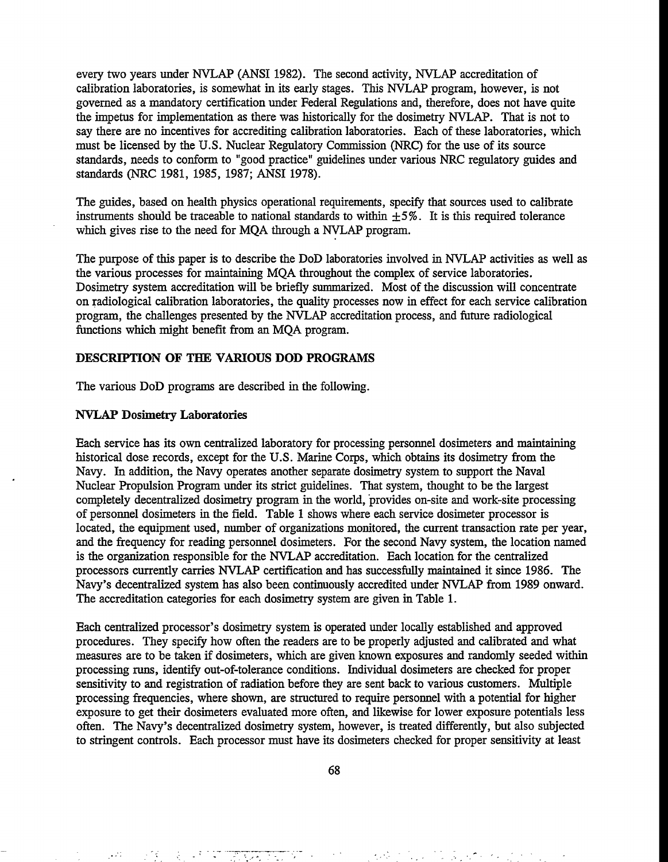every two years under NVLAP (ANSI 1982). The second activity, NVLAP accreditation of calibration laboratories, is somewhat in its early stages. This NVLAP program, however, is not governed as a mandatory certification under Federal Regulations and, therefore, does not have quite the impetus for implementation as there was historically for the dosimetry NVLAP. That is not to say there are no incentives for accrediting calibration laboratories. Each of these laboratories, which must be licensed by the U.S. Nuclear Regulatory Commission (NRC) for the use of its source standards, needs to conform to "good practice" guidelines under various NRC regulatory guides and standards (NRC 1981, 1985, 1987; ANSI 1978).

The guides, based on health physics operational requirements, specify that sources used to calibrate instruments should be traceable to national standards to within  $\pm 5\%$ . It is this required tolerance which gives rise to the need for MQA through a NVLAP program.

The purpose of this paper is to describe the DoD laboratories involved in NVLAP activities as well as the various processes for maintaining MQA throughout the complex of service laboratories. Dosimetry system accreditation will be briefly summarized. Most of the discussion will concentrate on radiological calibration laboratories, the quality processes now in effect for each service calibration program, the challenges presented by the NVLAP accreditation process, and future radiological functions which might benefit from an MQA program.

## **DESCRIPTION OF THE VARIOUS DOD PROGRAMS**

The various DoD programs are described in the following.

### **NVLAP Dosimetry Laboratories**

Each service has its own centralized laboratory for processing personnel dosimeters and maintaining historical dose records, except for the U.S. Marine Corps, which obtains its dosimetry from the Navy. In addition, the Navy operates another separate dosimetry system to support the Naval Nuclear Propulsion Program under its strict guidelines. That system, thought to be the largest completely decentralized dosimetry program in the world, provides on-site and work-site processing of personnel dosimeters in the field. Table 1 shows where each service dosimeter processor is located, the equipment used, number of organizations monitored, the current transaction rate per year, and the frequency for reading personnel dosimeters. For the second Navy system, the location named is the organization responsible for the NVLAP accreditation. Each location for the centralized processors currently carries NVLAP certification and has successfully maintained it since 1986. The Navy's decentralized system has also been continuously accredited under NVLAP from 1989 onward. The accreditation categories for each dosimetry system are given in Table 1.

Each centralized processor's dosimetry system is operated under locally established and approved procedures. They specify how often the readers are to be properly adjusted and calibrated and what measures are to be taken if dosimeters, which are given known exposures and randomly seeded within processing runs, identify out-of-tolerance conditions. Individual dosimeters are checked for proper sensitivity to and registration of radiation before they are sent back to various customers. Multiple processing frequencies, where shown, are structured to require personnel with a potential for higher exposure to get their dosimeters evaluated more often, and likewise for lower exposure potentials less often. The Navy's decentralized dosimetry system, however, is treated differently, but also subjected to stringent controls. Each processor must have its dosimeters checked for proper sensitivity at least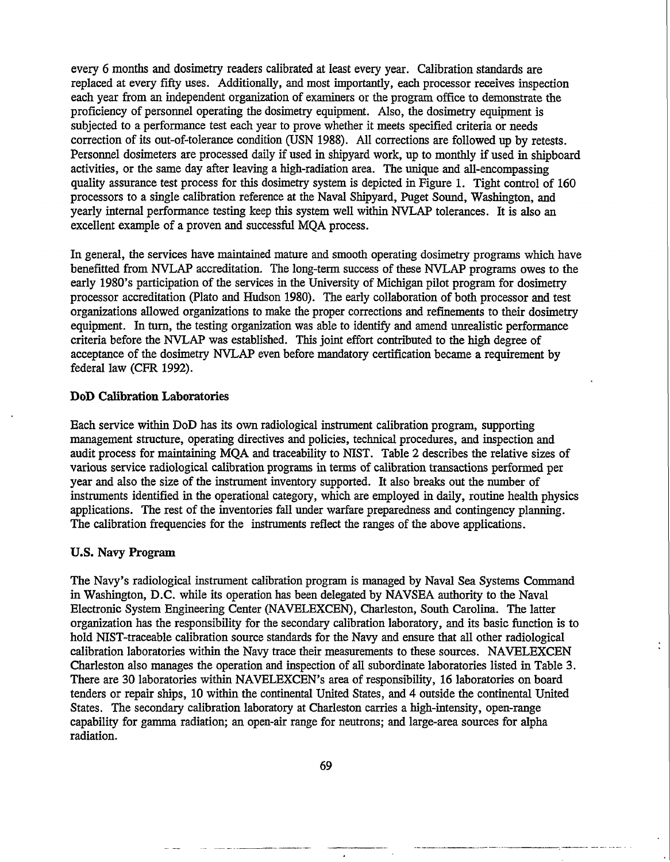every 6 months and dosimetry readers calibrated at least every year. Calibration standards are replaced at every fifty uses. Additionally, and most importantly, each processor receives inspection each year from an independent organization of examiners or the program office to demonstrate the proficiency of personnel operating the dosimetry equipment. Also, the dosimetry equipment is subjected to a performance test each year to prove whether it meets specified criteria or needs correction of its out-of-tolerance condition (USN 1988). All corrections are followed up by retests. Personnel dosimeters are processed daily if used in shipyard work, up to monthly if used in shipboard activities, or the same day after leaving a high-radiation area. The unique and all-encompassing quality assurance test process for this dosimetry system is depicted in Figure 1. Tight control of 160 processors to a single calibration reference at the Naval Shipyard, Puget Sound, Washington, and yearly internal performance testing keep this system well within NVLAP tolerances. It is also an excellent example of a proven and successful MQA process.

In general, the services have maintained mature and smooth operating dosimetry programs which have benefitted from NVLAP accreditation. The long-term success of these NVLAP programs owes to the early 1980's participation of the services in the University of Michigan pilot program for dosimetry processor accreditation (Plato and Hudson 1980). The early collaboration of both processor and test organizations allowed organizations to make the proper corrections and refinements to their dosimetry equipment. In turn, the testing organization was able to identify and amend unrealistic performance criteria before the NVLAP was established. This joint effort contributed to the high degree of acceptance of the dosimetry NVLAP even before mandatory certification became a requirement by federal law (CFR 1992).

# **DoD Calibration Laboratories**

Each service within DoD has its own radiological instrument calibration program, supporting management structure, operating directives and policies, technical procedures, and inspection and audit process for maintaining MQA and traceability to NIST. Table 2 describes the relative sizes of various service radiological calibration programs in terms of calibration transactions performed per year and also the size of the instrument inventory supported. It also breaks out the number of instruments identified in the operational category, which are employed in daily, routine health physics applications. The rest of the inventories fall under warfare preparedness and contingency planning. The calibration frequencies for the instruments reflect the ranges of the above applications.

## **U.S. Navy Program**

The Navy's radiological instrument calibration program is managed by Naval Sea Systems Command in Washington, D.C. while its operation has been delegated by NAVSEA authority to the Naval Electronic System Engineering Center (NAVELEXCEN), Charleston, South Carolina. The latter organization has the responsibility for the secondary calibration laboratory, and its basic function is to hold NIST-traceable calibration source standards for the Navy and ensure that all other radiological calibration laboratories within the Navy trace their measurements to these sources. NAVELEXCEN Charleston also manages the operation and inspection of all subordinate laboratories listed in Table 3. There are 30 laboratories within NAVELEXCEN's area of responsibility, 16 laboratories on board tenders or repair ships, 10 within the continental United States, and 4 outside the continental United States. The secondary calibration laboratory at Charleston carries a high-intensity, open-range capability for gamma radiation; an open-air range for neutrons; and large-area sources for alpha radiation.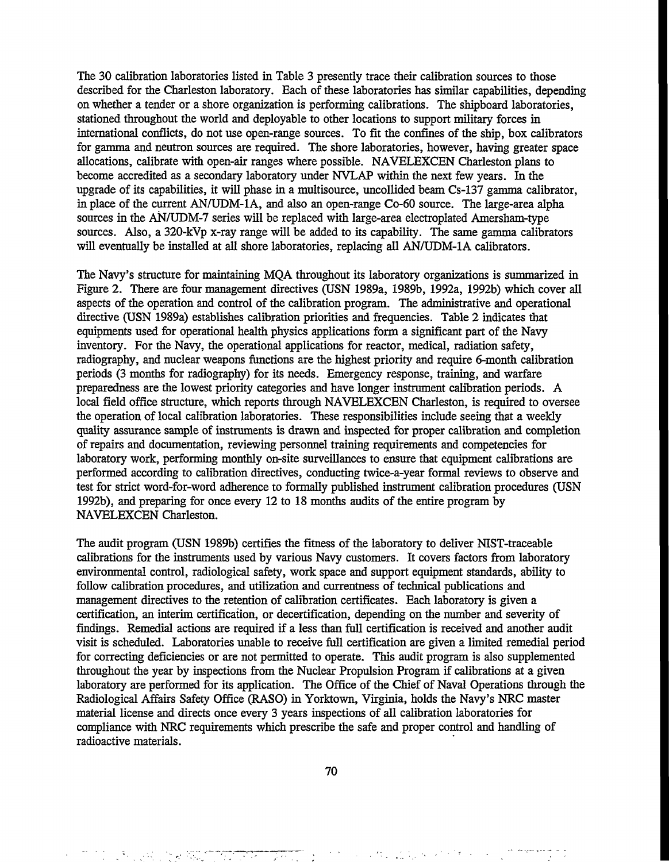The 30 calibration laboratories listed in Table 3 presently trace their calibration sources to those described for the Charleston laboratory. Each of these laboratories has similar capabilities, depending on whether a tender or a shore organization is performing calibrations. The shipboard laboratories, stationed throughout the world and deployable to other locations to support military forces in international conflicts, do not use open-range sources. To fit the confines of the ship, box calibrators for gamma and neutron sources are required. The shore laboratories, however, having greater space allocations, calibrate with open-air ranges where possible. NAVELEXCEN Charleston plans to become accredited as a secondary laboratory under NVLAP within the next few years. In the upgrade of its capabilities, it will phase in a multisource, uncollided beam Cs-137 gamma calibrator, in place of the current AN/UDM-1A, and also an open-range Co-60 source. The large-area alpha sources in the AN/UDM-7 series will be replaced with large-area electroplated Amersham-type sources. Also, a 320-kVp x-ray range will be added to its capability. The same gamma calibrators will eventually be installed at all shore laboratories, replacing all AN/UDM-1A calibrators.

The Navy's structure for maintaining MQA throughout its laboratory organizations is summarized in Figure 2. There are four management directives (USN 1989a, 1989b, 1992a, 1992b) which cover all aspects of the operation and control of the calibration program. The administrative and operational directive (USN 1989a) establishes calibration priorities and frequencies. Table 2 indicates that equipments used for operational health physics applications form a significant part of the Navy inventory. For the Navy, the operational applications for reactor, medical, radiation safety, radiography, and nuclear weapons functions are the highest priority and require 6-month calibration periods (3 months for radiography) for its needs. Emergency response, training, and warfare preparedness are the lowest priority categories and have longer instrument calibration periods. A local field office structure, which reports through NAVELEXCEN Charleston, is required to oversee the operation of local calibration laboratories. These responsibilities include seeing that a weekly quality assurance sample of instruments is drawn and inspected for proper calibration and completion of repairs and documentation, reviewing personnel training requirements and competencies for laboratory work, performing monthly on-site surveillances to ensure that equipment calibrations are performed according to calibration directives, conducting twice-a-year formal reviews to observe and test for strict word-for-word adherence to formally published instrument calibration procedures (USN 1992b), and preparing for once every 12 to 18 months audits of the entire program by NAVELEXCEN Charleston.

The audit program (USN 1989b) certifies the fitness of the laboratory to deliver NIST-traceable calibrations for the instruments used by various Navy customers. It covers factors from laboratory environmental control, radiological safety, work space and support equipment standards, ability to follow calibration procedures, and utilization and currentness of technical publications and management directives to the retention of calibration certificates. Each laboratory is given a certification, an interim certification, or decertification, depending on the number and severity of findings. Remedial actions are required if a less than full certification is received and another audit visit is scheduled. Laboratories unable to receive full certification are given a limited remedial period for correcting deficiencies or are not permitted to operate. This audit program is also supplemented throughout the year by inspections from the Nuclear Propulsion Program if calibrations at a given laboratory are performed for its application. The Office of the Chief of Naval Operations through the Radiological Affairs Safety Office (RASO) in Yorktown, Virginia, holds the Navy's NRC master material license and directs once every 3 years inspections of all calibration laboratories for compliance with NRC requirements which prescribe the safe and proper control and handling of radioactive materials.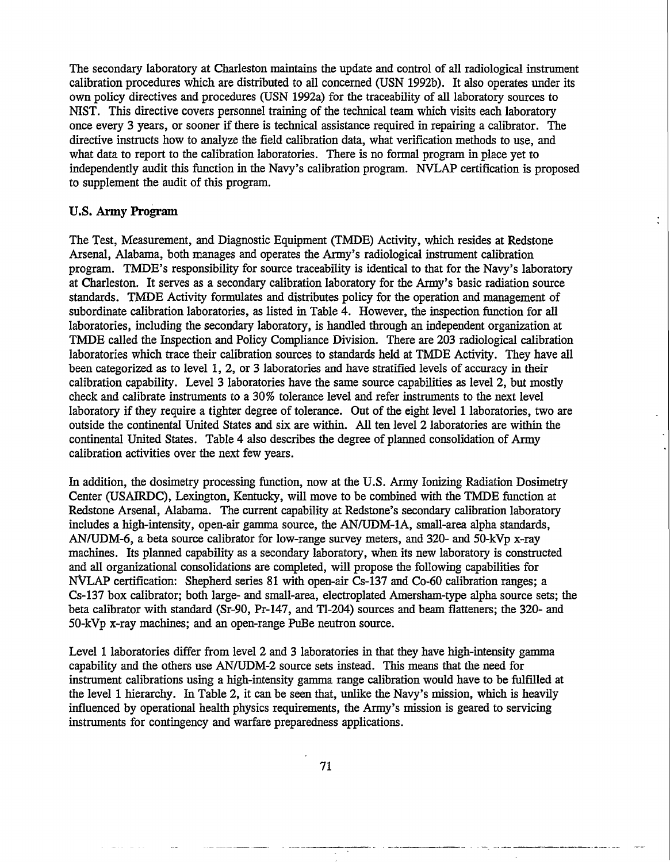The secondary laboratory at Charleston maintains the update and control of all radiological instrument calibration procedures which are distributed to all concerned (USN 1992b). It also operates under its own policy directives and procedures (USN 1992a) for the traceability of all laboratory sources to NIST. This directive covers personnel training of the technical team which visits each laboratory once every 3 years, or sooner if there is technical assistance required in repairing a calibrator. The directive instructs how to analyze the field calibration data, what verification methods to use, and what data to report to the calibration laboratories. There is no formal program in place yet to independently audit this function in the Navy's calibration program. NVLAP certification is proposed to supplement the audit of this program.

# **U.S. Army Program**

The Test, Measurement, and Diagnostic Equipment (TMDE) Activity, which resides at Redstone Arsenal, Alabama, both manages and operates the Army's radiological instrument calibration program. TMDE's responsibility for source traceability is identical to that for the Navy's laboratory at Charleston. It serves as a secondary calibration laboratory for the Army's basic radiation source standards. TMDE Activity formulates and distributes policy for the operation and management of subordinate calibration laboratories, as listed in Table 4. However, the inspection function for all laboratories, including the secondary laboratory, is handled through an independent organization at TMDE called the Inspection and Policy Compliance Division. There are 203 radiological calibration laboratories which trace their calibration sources to standards held at TMDE Activity. They have all been categorized as to level 1, 2, or 3 laboratories and have stratified levels of accuracy in their calibration capability. Level 3 laboratories have the same source capabilities as level 2, but mostly check and calibrate instruments to a 30% tolerance level and refer instruments to the next level laboratory if they require a tighter degree of tolerance. Out of the eight level 1 laboratories, two are outside the continental United States and six are within. All ten level 2 laboratories are within the continental United States. Table 4 also describes the degree of planned consolidation of Army calibration activities over the next few years.

In addition, the dosimetry processing function, now at the U.S. Army Ionizing Radiation Dosimetry Center (USAIRDC), Lexington, Kentucky, will move to be combined with the TMDE function at Redstone Arsenal, Alabama. The current capability at Redstone's secondary calibration laboratory includes a high-intensity, open-air gamma source, the AN/UDM-1A, small-area alpha standards, AN/UDM-6, a beta source calibrator for low-range survey meters, and 320- and 50-kVp x-ray machines. Its planned capability as a secondary laboratory, when its new laboratory is constructed and all organizational consolidations are completed, will propose the following capabilities for NVLAP certification: Shepherd series 81 with open-air Cs-137 and Co-60 calibration ranges; a Cs-137 box calibrator; both large- and small-area, electroplated Amersham-type alpha source sets; the beta calibrator with standard (Sr-90, Pr-147, and Tl-204) sources and beam flatteners; the 320- and 50-kVp x-ray machines; and an open-range PuBe neutron source.

Level 1 laboratories differ from level 2 and 3 laboratories in that they have high-intensity gamma capability and the others use AN/UDM-2 source sets instead. This means that the need for instrument calibrations using a high-intensity gamma range calibration would have to be fulfilled at the level 1 hierarchy. In Table 2, it can be seen that, unlike the Navy's mission, which is heavily influenced by operational health physics requirements, the Army's mission is geared to servicing instruments for contingency and warfare preparedness applications.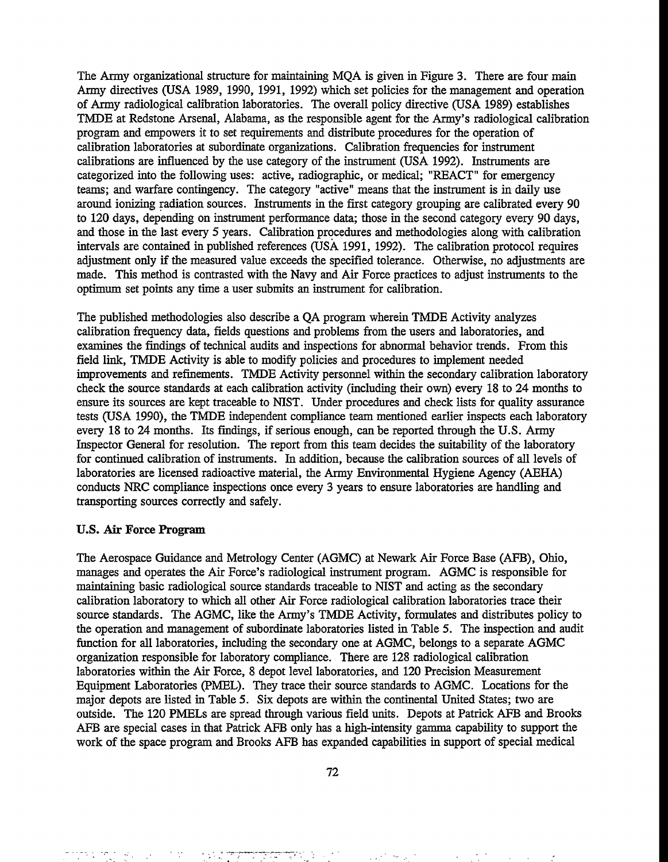The Army organizational structure for maintaining MQA is given in Figure 3. There are four main Army directives (USA 1989, 1990, 1991, 1992) which set policies for the management and operation of Army radiological calibration laboratories. The overall policy directive (USA 1989) establishes TMDE at Redstone Arsenal, Alabama, as the responsible agent for the Army's radiological calibration program and empowers it to set requirements and distribute procedures for the operation of calibration laboratories at subordinate organizations. Calibration frequencies for instrument calibrations are influenced by the use category of the instrument (USA 1992). Instruments are categorized into the following uses: active, radiographic, or medical; "REACT" for emergency teams; and warfare contingency. The category "active" means that the instrument is in daily use around ionizing radiation sources. Instruments in the first category grouping are calibrated every 90 to 120 days, depending on instrument performance data; those in the second category every 90 days, and those in the last every 5 years. Calibration procedures and methodologies along with calibration intervals are contained in published references (USA 1991, 1992). The calibration protocol requires adjustment only if the measured value exceeds the specified tolerance. Otherwise, no adjustments are made. This method is contrasted with the Navy and Air Force practices to adjust instruments to the optimum set points any time a user submits an instrument for calibration.

The published methodologies also describe a QA program wherein TMDE Activity analyzes calibration frequency data, fields questions and problems from the users and laboratories, and examines the findings of technical audits and inspections for abnormal behavior trends. From this field link, TMDE Activity is able to modify policies and procedures to implement needed improvements and refinements. TMDE Activity personnel within the secondary calibration laboratory check the source standards at each calibration activity (including their own) every 18 to 24 months to ensure its sources are kept traceable to NIST. Under procedures and check lists for quality assurance tests (USA 1990), the TMDE independent compliance team mentioned earlier inspects each laboratory every 18 to 24 months. Its findings, if serious enough, can be reported through the U.S. Army Inspector General for resolution. The report from this team decides the suitability of the laboratory for continued calibration of instruments. In addition, because the calibration sources of all levels of laboratories are licensed radioactive material, the Army Environmental Hygiene Agency (AEHA) conducts NRC compliance inspections once every 3 years to ensure laboratories are handling and transporting sources correctly and safely.

### **U.S. Air Force Program**

The Aerospace Guidance and Metrology Center (AGMC) at Newark Air Force Base (AFB), Ohio, manages and operates the Air Force's radiological instrument program. AGMC is responsible for maintaining basic radiological source standards traceable to NIST and acting as the secondary calibration laboratory to which all other Air Force radiological calibration laboratories trace their source standards. The AGMC, like the Army's TMDE Activity, formulates and distributes policy to the operation and management of subordinate laboratories listed in Table 5. The inspection and audit function for all laboratories, including the secondary one at AGMC, belongs to a separate AGMC organization responsible for laboratory compliance. There are 128 radiological calibration laboratories within the Air Force, 8 depot level laboratories, and 120 Precision Measurement Equipment Laboratories (PMEL). They trace their source standards to AGMC. Locations for the major depots are listed in Table 5. Six depots are within the continental United States; two are outside. The 120 PMELs are spread through various field units. Depots at Patrick AFB and Brooks AFB are special cases in that Patrick AFB only has a high-intensity gamma capability to support the work of the space program and Brooks AFB has expanded capabilities in support of special medical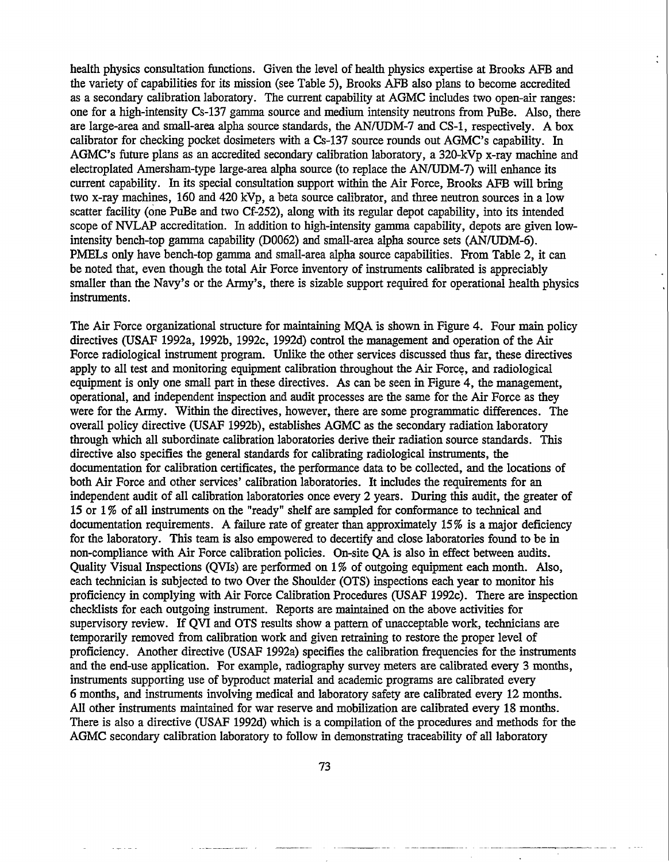health physics consultation functions. Given the level of health physics expertise at Brooks AFB and the variety of capabilities for its mission (see Table 5), Brooks AFB also plans to become accredited as a secondary calibration laboratory. The current capability at AGMC includes two open-air ranges: one for a high-intensity Cs-137 gamma source and medium intensity neutrons from PuBe. Also, there are large-area and small-area alpha source standards, the AN/UDM-7 and CS-1, respectively. A box calibrator for checking pocket dosimeters with a Cs-137 source rounds out AGMC's capability. In AGMC's future plans as an accredited secondary calibration laboratory, a 320-kVp x-ray machine and electroplated Amersham-type large-area alpha source (to replace the AN/UDM-7) will enhance its current capability. In its special consultation support within the Air Force, Brooks AFB will bring two x-ray machines, 160 and 420 kVp, a beta source calibrator, and three neutron sources in a low scatter facility (one PuBe and two Cf-252), along with its regular depot capability, into its intended scope of NVLAP accreditation. In addition to high-intensity gamma capability, depots are given lowintensity bench-top gamma capability (D0062) and small-area alpha source sets (AN/UDM-6). PMELs only have bench-top gamma and small-area alpha source capabilities. From Table 2, it can be noted that, even though the total Air Force inventory of instruments calibrated is appreciably smaller than the Navy's or the Army's, there is sizable support required for operational health physics instruments.

The Air Force organizational structure for maintaining MQA is shown in Figure 4. Four main policy directives (USAF 1992a, 1992b, 1992c, 1992d) control the management and operation of the Air Force radiological instrument program. Unlike the other services discussed thus far, these directives apply to all test and monitoring equipment calibration throughout the Air Force, and radiological equipment is only one small part in these directives. As can be seen in Figure 4, the **management,** operational, and independent inspection and audit processes are the same for the Air Force as they were for the Army. Within the directives, however, there are some programmatic differences. The overall policy directive (USAF 1992b), establishes AGMC as the secondary radiation laboratory through which all subordinate calibration laboratories derive their radiation source standards. This directive also specifies the general standards for calibrating radiological instruments, the documentation for calibration certificates, the performance data to be collected, and the locations of both Air Force and other services' calibration laboratories. It includes the requirements for an independent audit of all calibration laboratories once every 2 years. During this audit, the greater of 15 or 1 % of all instruments on the "ready" shelf are sampled for conformance to technical and documentation requirements. A failure rate of greater than approximately 15% is a major deficiency for the laboratory. This team is also empowered to decertify and close laboratories found to be in non-compliance with Air Force calibration policies. On-site QA is also in effect between audits. Quality Visual Inspections (QVIs) are performed on 1% of outgoing equipment each month. Also, each technician is subjected to two Over the Shoulder (OTS) inspections each year to monitor his proficiency in complying with Air Force Calibration Procedures (USAF 1992c). There are inspection checklists for each outgoing instrument. Reports are maintained on the above activities for supervisory review. If QVI and OTS results show a pattern of unacceptable work, technicians are temporarily removed from calibration work and given retraining to restore the proper level of proficiency. Another directive (USAF 1992a) specifies the calibration frequencies for the instruments and the end-use application. For example, radiography survey meters are calibrated every 3 months, instruments supporting use of byproduct material and academic programs are calibrated every 6 months, and instruments involving medical and laboratory safety are calibrated every 12 months. All other instruments maintained for war reserve and mobilization are calibrated every 18 months. There is also a directive (USAF 1992d) which is a compilation of the procedures and methods for the AGMC secondary calibration laboratory to follow in demonstrating traceability of all laboratory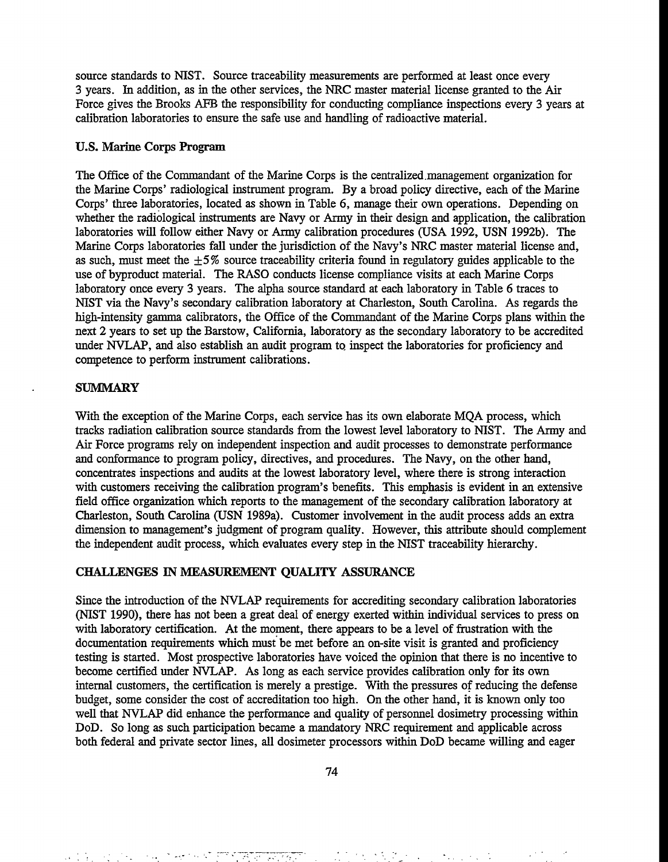source standards to NIST. Source traceability measurements are performed at least once every 3 years. In addition, as in the other services, the NRC master material license granted to the Air Force gives the Brooks AFB the responsibility for conducting compliance inspections every 3 years at calibration laboratories to ensure the safe use and handling of radioactive material.

# **U.S. Marine Corps Program**

The Office of the Commandant of the Marine Corps is the centralized.management organization for the Marine Corps' radiological instrument program. By a broad policy directive, each of the Marine Corps' three laboratories, located as shown in Table 6, manage their own operations. Depending on whether the radiological instruments are Navy or Army in their design and application, the calibration laboratories will follow either Navy or Army calibration procedures (USA 1992, USN 1992b). The Marine Corps laboratories fall under the jurisdiction of the Navy's NRC master material license and, as such, must meet the  $\pm 5\%$  source traceability criteria found in regulatory guides applicable to the use of byproduct material. The RASO conducts license compliance visits at each Marine Corps laboratory once every 3 years. The alpha source standard at each laboratory in Table 6 traces to NIST via the Navy's secondary calibration laboratory at Charleston, South Carolina. As regards the high-intensity gamma calibrators, the Office of the Commandant of the Marine Corps plans within the next 2 years to set up the Barstow, California, laboratory as the secondary laboratory to be accredited under NVLAP, and also establish an audit program to inspect the laboratories for proficiency and competence to perform instrument calibrations.

# **SUMMARY**

With the exception of the Marine Corps, each service has its own elaborate MQA process, which tracks radiation calibration source standards from the lowest level laboratory to NIST. The Army and Air Force programs rely on independent inspection and audit processes to demonstrate performance and conformance to program policy, directives, and procedures. The Navy, on the other hand, concentrates inspections and audits at the lowest laboratory level, where there is strong interaction with customers receiving the calibration program's benefits. This emphasis is evident in an extensive field office organization which reports to the management of the secondary calibration laboratory at Charleston, South Carolina (USN 1989a). Customer involvement in the audit process adds an extra dimension to management's judgment of program quality. However, this attribute should complement the independent audit process, which evaluates every step in the NIST traceability hierarchy.

# **CHALLENGES IN MEASUREMENT QUALITY ASSURANCE**

Since the introduction of the NVLAP requirements for accrediting secondary calibration laboratories (NIST 1990), there has not been a great deal of energy exerted within individual services to press on with laboratory certification. At the moment, there appears to be a level of frustration with the documentation requirements which must be met before an on-site visit is granted and proficiency testing is started. Most prospective laboratories have voiced the opinion that there is no incentive to become certified under NVLAP. As long as each service provides calibration only for its own internal customers, the certification is merely a prestige. With the pressures of reducing the defense budget, some consider the cost of accreditation too high. On the other hand, it is known only too well that NVLAP did enhance the performance and quality of personnel dosimetry processing within DoD. So long as such participation became a mandatory NRC requirement and applicable across both federal and private sector lines, all dosimeter processors within DoD became willing and eager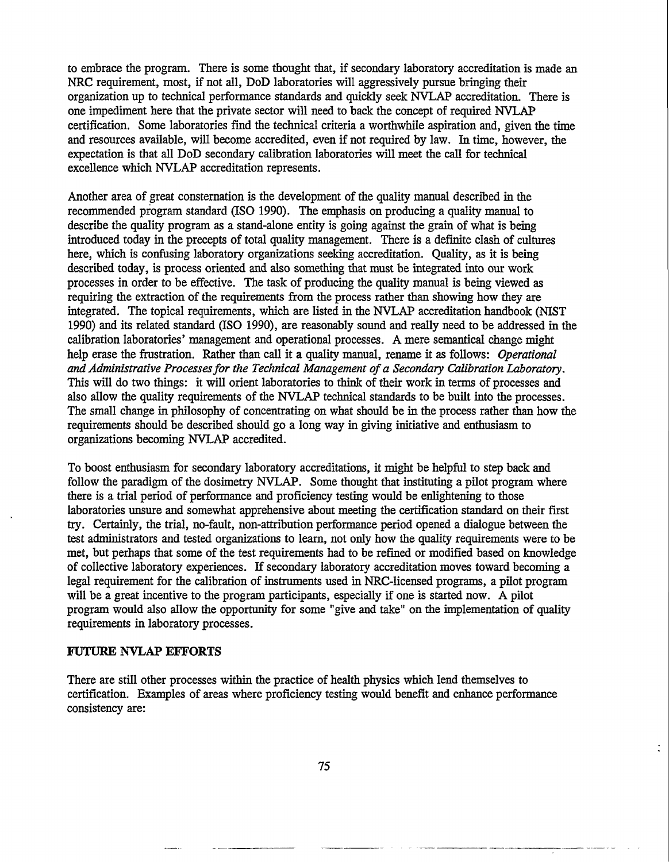to embrace the program. There is some thought that, if secondary laboratory accreditation is made an NRC requirement, most, if not all, DoD laboratories will aggressively pursue bringing their organization up to technical performance standards and quickly seek NVLAP accreditation. There is one impediment here that the private sector will need to back the concept of required NVLAP certification. Some laboratories find the technical criteria a worthwhile aspiration and, given the time and resources available, will become accredited, even if not required by law. In time, however, the expectation is that all DoD secondary calibration laboratories will meet the call for technical excellence which NVLAP accreditation represents.

Another area of great consternation is the development of the quality manual described in the recommended program standard (ISO 1990). The emphasis on producing a quality **manual** to describe the quality program as a stand-alone entity is going against the grain of what is being introduced today in the precepts of total quality management. There is a definite clash of cultures here, which is confusing laboratory organizations seeking accreditation. Quality, as it is being described today, is process oriented and also something that must be integrated into our work processes in order to be effective. The task of producing the quality manual is being viewed as requiring the extraction of the requirements from the process rather than showing how they are integrated. The topical requirements, which are listed in the NVLAP accreditation handbook (NIST 1990) and its related standard (ISO 1990), are reasonably sound and really need to be addressed in the calibration laboratories' management and operational processes. A mere semantical change might help erase the frustration. Rather than call it a quality manual, rename it as follows: *Operational and Administrative Processes for the Technical Management of a Secondary Calibration Laboratory.* This will do two things: it will orient laboratories to think of their work in terms of processes and also allow the quality requirements of the NVLAP technical standards to be built into the processes. The small change in philosophy of concentrating on what should be in the process rather than how the requirements should be described should go a long way in giving initiative and enthusiasm to organizations becoming NVLAP accredited.

To boost enthusiasm for secondary laboratory accreditations, it might be helpful to step back and follow the paradigm of the dosimetry NVLAP. Some thought that instituting a pilot program where there is a trial period of performance and proficiency testing would be enlightening to those laboratories unsure and somewhat apprehensive about meeting the certification standard on their first try. Certainly, the trial, no-fault, non-attribution performance period opened a dialogue between the test administrators and tested organizations to learn, not only how the quality requirements were to be met, but perhaps that some of the test requirements had to be refined or modified based on knowledge of collective laboratory experiences. If secondary laboratory accreditation moves toward becoming a legal requirement for the calibration of instruments used in NRC-licensed programs, a pilot program will be a great incentive to the program participants, especially if one is started now. A pilot program would also allow the opportunity for some "give and take" on the implementation of quality requirements in laboratory processes.

### FUTURE NVLAP EFFORTS

There are still other processes within the practice of health physics which lend themselves to certification. Examples of areas where proficiency testing would benefit and enhance performance consistency are: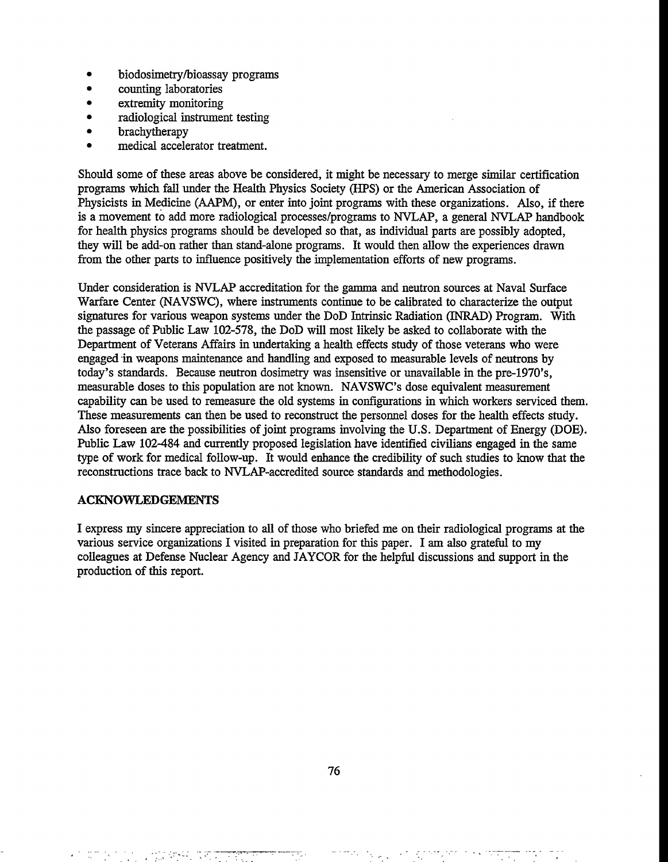- biodosimetry/bioassay programs
- counting laboratories
- extremity monitoring
- radiological instrument testing
- **brachytherapy**
- medical accelerator treatment.

Should some of these areas above be considered, it might be necessary to merge similar certification programs which fall under the Health Physics Society (HPS) or the American Association of Physicists in Medicine (AAPM), or enter into joint programs with these organizations. Also, if there is a movement to add more radiological processes/programs to NVLAP, a general NVLAP handbook for health physics programs should be developed so that, as individual parts are possibly adopted, they will be add-on rather than stand-alone programs. It would then allow the experiences drawn from the other parts to influence positively the implementation efforts of new programs.

Under consideration is NVLAP accreditation for the **gamma** and neutron sources at Naval Surface Warfare Center (NAVSWC), where instruments continue to be calibrated to characterize the output signatures for various weapon systems under the DoD Intrinsic Radiation (INRAD) Program. With the passage of Public Law 102-578, the DoD will most likely be asked to collaborate with the Department of Veterans Affairs in undertaking a health effects study of those veterans who were engaged in weapons maintenance and handling and exposed to measurable levels of neutrons by today's standards. Because neutron dosimetry was insensitive or unavailable in the pre-1970's, measurable doses to this population are not known. NAVSWC's dose equivalent measurement capability can be used to remeasure the old systems in configurations in which workers serviced them. These measurements can then be used to reconstruct the personnel doses for the health effects study. Also foreseen are the possibilities of joint programs involving the U.S. Department of Energy (DOE). Public Law 102-484 and currently proposed legislation have identified civilians engaged in the same type of work for medical follow-up. It would enhance the credibility of such studies to know that the reconstructions trace back to NVLAP-accredited source standards and methodologies.

# ACKNOWLEDGEMENTS

I express my sincere appreciation to all of those who briefed me on their radiological programs at the various service organizations I visited in preparation for this paper. I am also grateful to my colleagues at Defense Nuclear Agency and JAYCOR for the helpful discussions and support in the production of this report.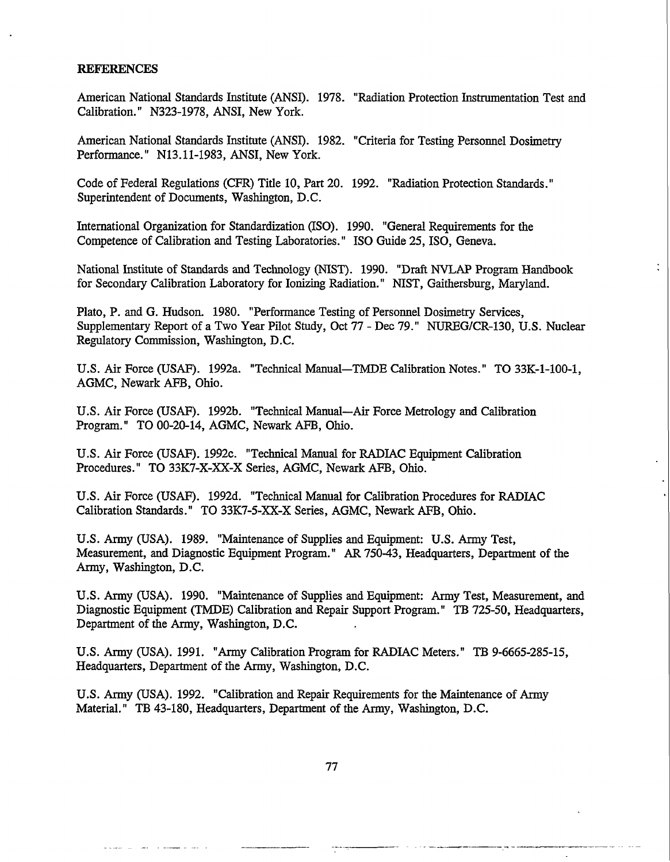#### **REFERENCES**

American National Standards Institute (ANSI). 1978. "Radiation Protection Instrumentation Test and Calibration." N323-1978, ANSI, New York.

American National Standards Institute (ANSI). 1982. "Criteria for Testing Personnel Dosimetry Performance." N13.11-1983, ANSI, New York.

Code of Federal Regulations (CFR) Title 10, Part 20. 1992. "Radiation Protection Standards." Superintendent of Documents, Washington, D.C.

International Organization for Standardization (ISO). 1990. "General Requirements for the Competence of Calibration and Testing Laboratories." ISO Guide 25, ISO, Geneva.

National Institute of Standards and Technology (NIST). 1990. "Draft NVLAP Program Handbook for Secondary Calibration Laboratory for Ionizing Radiation." NIST, Gaithersburg, Maryland.

Plato, P. and G. Hudson. 1980. "Performance Testing of Personnel Dosimetry Services, Supplementary Report of a Two Year Pilot Study, Oct 77 - Dec 79." NUREG/CR-130, U.S. Nuclear Regulatory Commission, Washington, D.C.

U.S. Air Force (USAF). 1992a. "Technical Manual—TMDE Calibration Notes." TO 33K-1-100-1, AGMC, Newark AFB, Ohio.

U.S. Air Force (USAF). 1992b. "Technical Manual—Air Force Metrology and Calibration Program." TO 00-20-14, AGMC, Newark AFB, Ohio.

U.S. Air Force (USAF). 1992c. "Technical Manual for RADIAC Equipment Calibration Procedures." TO 33K7-X-XX-X Series, AGMC, Newark AFB, Ohio.

U.S. Air Force (USAF). 1992d. "Technical Manual for Calibration Procedures for RADIAC Calibration Standards." TO 33K7-5-XX-X Series, AGMC, Newark AFB, Ohio.

U.S. Army (USA). 1989. "Maintenance of Supplies and Equipment: U.S. Army Test, Measurement, and Diagnostic Equipment Program." AR 750-43, Headquarters, Department of the Army, Washington, D.C.

U.S. Army (USA). 1990. "Maintenance of Supplies and Equipment: Army Test, Measurement, and Diagnostic Equipment (TMDE) Calibration and Repair Support Program." TB 725-50, Headquarters, Department of the Army, Washington, D.C.

U.S. Army (USA). 1991. "Army Calibration Program for RADIAC Meters." TB 9-6665-285-15, Headquarters, Department of the Army, Washington, D.C.

U.S. Army (USA). 1992. "Calibration and Repair Requirements for the Maintenance of Army Material." TB 43-180, Headquarters, Department of the Army, Washington, D.C.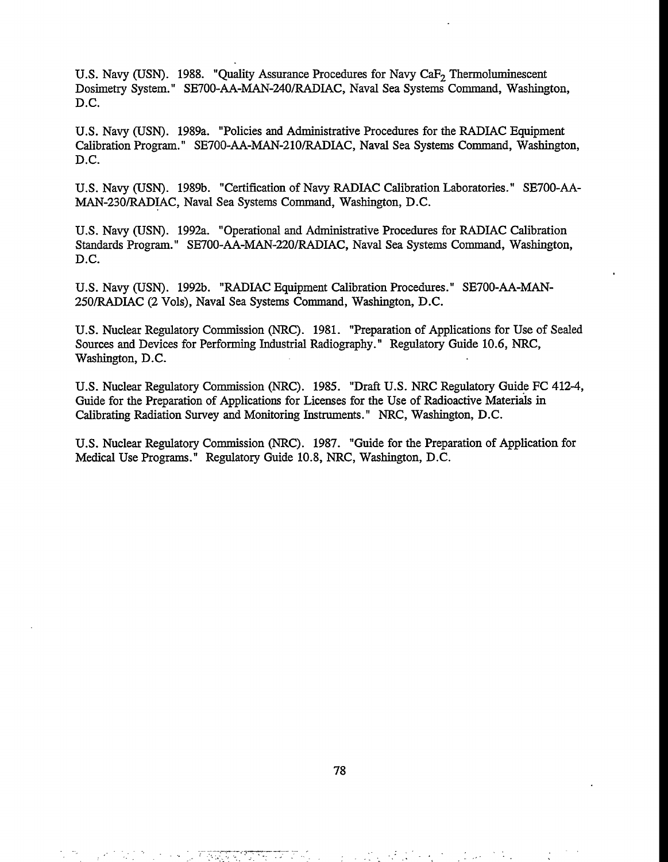U.S. Navy (USN). 1988. "Quality Assurance Procedures for Navy CaF<sub>2</sub> Thermoluminescent Dosimetry System." SE700-AA-MAN-240/RADIAC, Naval Sea Systems Command, Washington, D.C.

U.S. Navy (USN). 1989a. "Policies and Administrative Procedures for the RADIAC Equipment Calibration Program." SE700-AA-MAN-210/RADIAC, Naval Sea Systems Command, Washington, D.C.

U.S. Navy (USN). 1989b. "Certification of Navy RADIAC Calibration Laboratories." SE700-AA-MAN-230/RADIAC, Naval Sea Systems Command, Washington, D.C.

U.S. Navy (USN). 1992a. "Operational and **Administrative** Procedures for RADIAC Calibration Standards Program." SE700-AA-MAN-220/RADIAC, Naval Sea Systems Command, Washington, D.C.

U.S. Navy (USN). 1992b. "RADIAC Equipment Calibration Procedures." SE700-AA-MAN-250/RADIAC (2 Vols), Naval Sea Systems Command, Washington, D.C.

U.S. Nuclear Regulatory Commission (NRC). 1981. "Preparation of Applications for Use of Sealed Sources and Devices for Performing Industrial Radiography." Regulatory Guide 10.6, NRC, Washington, D.C.

U.S. Nuclear Regulatory Commission (NRC). 1985. "Draft U.S. NRC Regulatory Guide FC 412-4, Guide for the Preparation of Applications for Licenses for the Use of Radioactive Materials in Calibrating Radiation Survey and Monitoring Instruments." NRC, Washington, D.C.

U.S. Nuclear Regulatory Commission (NRC). 1987. "Guide for the Preparation of Application for Medical Use Programs." Regulatory Guide 10.8, NRC, Washington, D.C.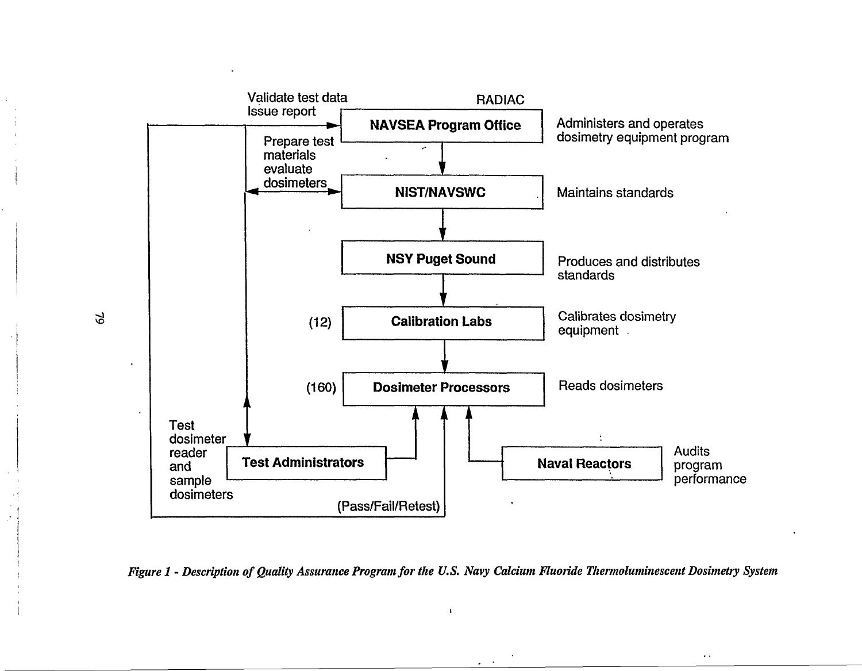



I

 $\ddot{\phantom{0}}$ 

 $\Im$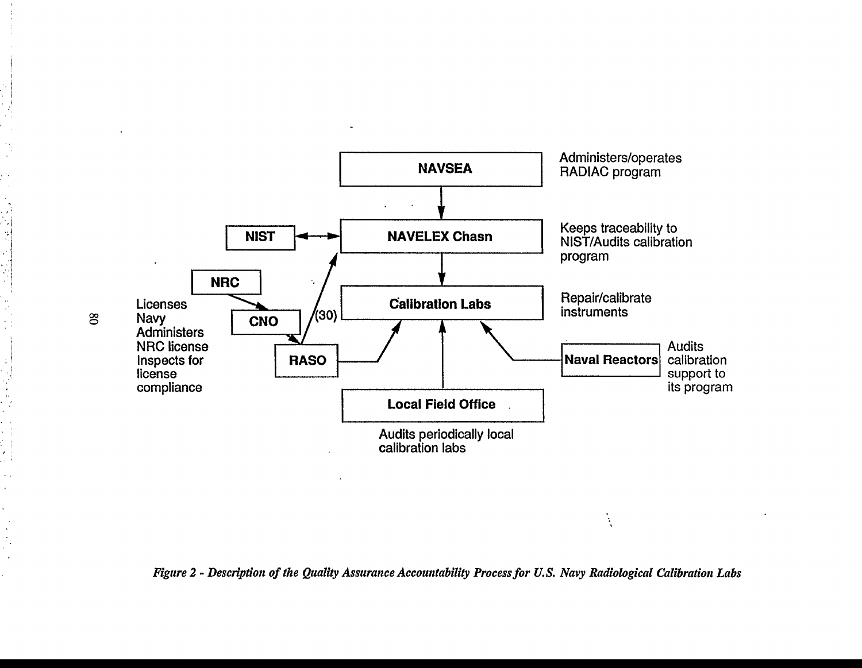

*Figure 2 - Description of the Quality Assurance Accountability Process for U.S. Navy Radiological Calibration Labs*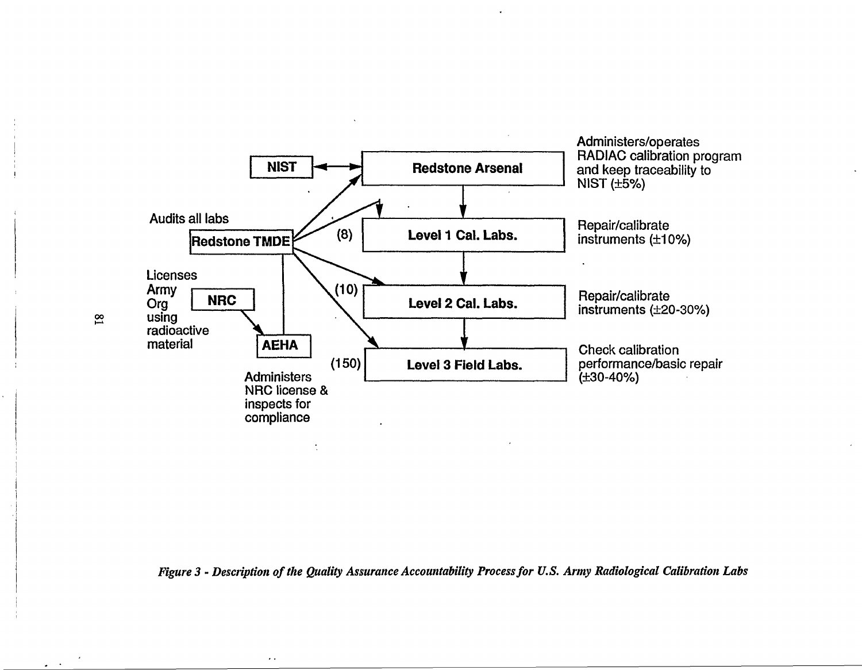

*Figure 3 - Description of the Quality Assurance Accountability Process for U.S. Army Radiological Calibration Labs* 

 $\ddot{\phantom{a}}$  .

 $\omega_{\rm{max}}$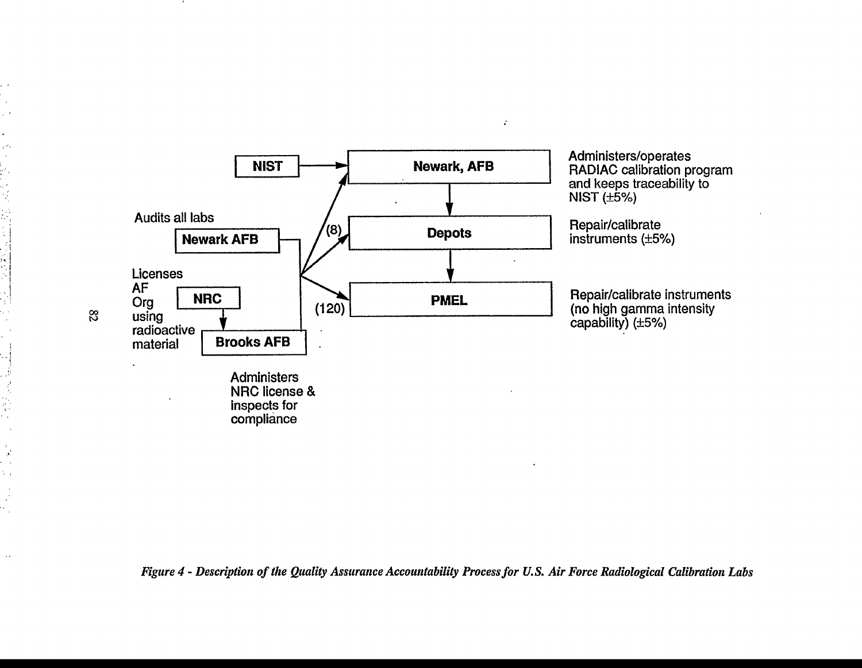

 $\mathcal{C}^{\pm}$ 

*Figure 4 - Description of the Quality Assurance Accountability Process for U.S. Air Force Radiological Calibration Labs* 

コーナー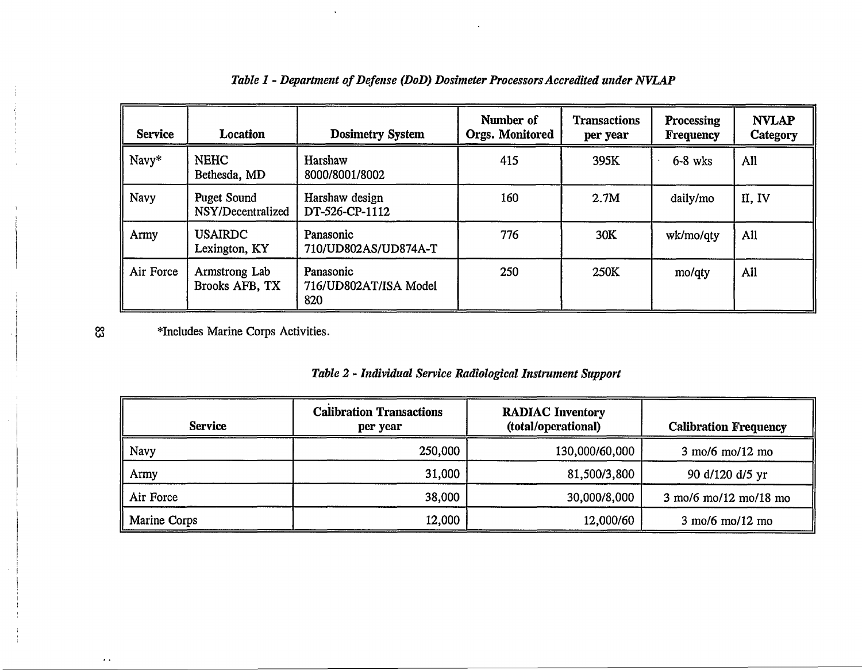| <b>Service</b> | <b>Location</b>                  | <b>Dosimetry System</b>                   | Number of<br><b>Orgs. Monitored</b> | <b>Transactions</b><br>per year | <b>Processing</b><br><b>Frequency</b> | <b>NVLAP</b><br>Category |
|----------------|----------------------------------|-------------------------------------------|-------------------------------------|---------------------------------|---------------------------------------|--------------------------|
| Navy*          | <b>NEHC</b><br>Bethesda, MD      | Harshaw<br>8000/8001/8002                 | 415                                 | 395K                            | $6-8$ wks                             | All                      |
| <b>Navy</b>    | Puget Sound<br>NSY/Decentralized | Harshaw design<br>DT-526-CP-1112          | 160                                 | 2.7M                            | daily/mo                              | II, IV                   |
| Army           | <b>USAIRDC</b><br>Lexington, KY  | Panasonic<br>710/UD802AS/UD874A-T         | 776                                 | 30K                             | wk/mo/qty                             | All                      |
| Air Force      | Armstrong Lab<br>Brooks AFB, TX  | Panasonic<br>716/UD802AT/ISA Model<br>820 | 250                                 | 250K                            | mo/qty                                | All                      |

# *Table 1 - Department of Defense (DoD) Dosimeter Processors Accredited under NVLAP*

♦Includes Marine Corps Activities.

|  |  | Table 2 - Individual Service Radiological Instrument Support |  |
|--|--|--------------------------------------------------------------|--|
|  |  |                                                              |  |

| <b>Service</b> | <b>Calibration Transactions</b><br>per year | <b>RADIAC Inventory</b><br>(total/operational) | <b>Calibration Frequency</b>                                      |
|----------------|---------------------------------------------|------------------------------------------------|-------------------------------------------------------------------|
| Navy           | 250,000                                     | 130,000/60,000                                 | $3 \text{ mol}$ mo/12 mo                                          |
| Army           | 31,000                                      | 81,500/3,800                                   | 90 d/120 d/5 yr                                                   |
| Air Force      | 38,000                                      | 30,000/8,000                                   | $3 \text{ mol} / 6 \text{ mol} / 12 \text{ mol} / 18 \text{ mol}$ |
| Marine Corps   | 12,000                                      | 12,000/60                                      | $3 \text{ mol}/6 \text{ mol}/12 \text{ mol}$                      |

ထိ

 $\sim$   $\sim$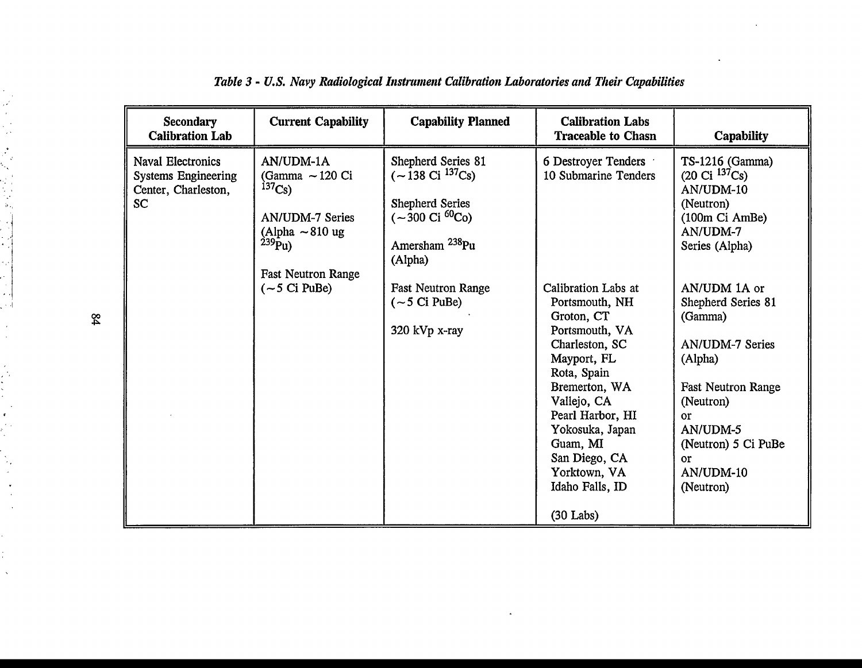| <b>Secondary</b><br><b>Calibration Lab</b>                                                 | <b>Current Capability</b>                                                                                                                                                          | <b>Capability Planned</b>                                                                                                                                                                                                                             | <b>Calibration Labs</b><br><b>Traceable to Chasn</b>                                                                                                                                                                                                                                                        | Capability                                                                                                                                                                                                                                                                                                                                       |
|--------------------------------------------------------------------------------------------|------------------------------------------------------------------------------------------------------------------------------------------------------------------------------------|-------------------------------------------------------------------------------------------------------------------------------------------------------------------------------------------------------------------------------------------------------|-------------------------------------------------------------------------------------------------------------------------------------------------------------------------------------------------------------------------------------------------------------------------------------------------------------|--------------------------------------------------------------------------------------------------------------------------------------------------------------------------------------------------------------------------------------------------------------------------------------------------------------------------------------------------|
| <b>Naval Electronics</b><br><b>Systems Engineering</b><br>Center, Charleston,<br><b>SC</b> | AN/UDM-1A<br>(Gamma $\sim$ 120 Ci<br>$^{137}Cs$ )<br><b>AN/UDM-7 Series</b><br>(Alpha $\sim 810$ ug<br>$^{239}Pu$ )<br><b>Fast Neutron Range</b><br>$(-5 \text{ Ci} \text{ PuBe})$ | Shepherd Series 81<br>$(-138 \text{ Ci } ^{137} \text{Cs})$<br><b>Shepherd Series</b><br>$(-300 \text{ Ci } ^{60}\text{Co})$<br>Amersham <sup>238</sup> Pu<br>(Alpha)<br><b>Fast Neutron Range</b><br>$(-5 \text{ Ci} \text{ PuBe})$<br>320 kVp x-ray | 6 Destroyer Tenders<br>10 Submarine Tenders<br>Calibration Labs at<br>Portsmouth, NH<br>Groton, CT<br>Portsmouth, VA<br>Charleston, SC<br>Mayport, FL<br>Rota, Spain<br>Bremerton, WA<br>Vallejo, CA<br>Pearl Harbor, HI<br>Yokosuka, Japan<br>Guam, MI<br>San Diego, CA<br>Yorktown, VA<br>Idaho Falls, ID | TS-1216 (Gamma)<br>$(20 \text{ Ci } ^{137}\text{Cs})$<br>AN/UDM-10<br>(Neutron)<br>(100m Ci AmBe)<br>AN/UDM-7<br>Series (Alpha)<br>AN/UDM 1A or<br>Shepherd Series 81<br>(Gamma)<br><b>AN/UDM-7 Series</b><br>(Alpha)<br><b>Fast Neutron Range</b><br>(Neutron)<br>or<br>AN/UDM-5<br>(Neutron) 5 Ci PuBe<br>$\alpha$ r<br>AN/UDM-10<br>(Neutron) |
|                                                                                            |                                                                                                                                                                                    |                                                                                                                                                                                                                                                       | $(30$ Labs)                                                                                                                                                                                                                                                                                                 |                                                                                                                                                                                                                                                                                                                                                  |

# *Table 3 - U.S. Navy Radiological Instrument Calibration Laboratories and Their Capabilities*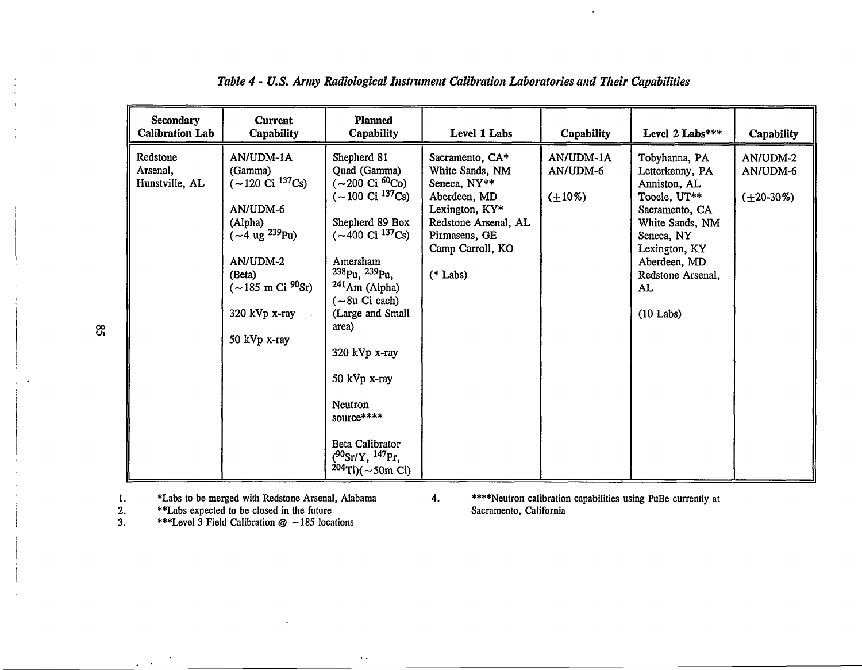| <b>Secondary</b><br><b>Calibration Lab</b> | <b>Current</b><br><b>Capability</b>                                                                                                                                                                                      | <b>Planned</b><br>Capability                                                                                                                                                                                                                                                                                                                                                                                      | Level 1 Labs                                                                                                                                                    | <b>Capability</b>                     | Level 2 Labs***                                                                                                                                                                                | <b>Capability</b>                         |
|--------------------------------------------|--------------------------------------------------------------------------------------------------------------------------------------------------------------------------------------------------------------------------|-------------------------------------------------------------------------------------------------------------------------------------------------------------------------------------------------------------------------------------------------------------------------------------------------------------------------------------------------------------------------------------------------------------------|-----------------------------------------------------------------------------------------------------------------------------------------------------------------|---------------------------------------|------------------------------------------------------------------------------------------------------------------------------------------------------------------------------------------------|-------------------------------------------|
| Redstone<br>Arsenal,<br>Hunstville, AL     | AN/UDM-1A<br>(Gamma)<br>$(-120 \text{ Ci } ^{137}\text{Cs})$<br>AN/UDM-6<br>(Alpha)<br>$(-4 \text{ ug }^{239}\text{Pu})$<br>AN/UDM-2<br>(Beta)<br>$(-185 \text{ m Ci } ^{90}\text{Sr})$<br>320 kVp x-ray<br>50 kVp x-ray | Shepherd 81<br>Quad (Gamma)<br>(~200 Ci <sup>60</sup> Co)<br>$(-100 \text{ Ci } ^{137}\text{Cs})$<br>Shepherd 89 Box<br>$(-400 \text{ Ci } ^{137} \text{Cs})$<br>Amersham<br>$238p_u$ , $239p_u$ ,<br>$241$ Am (Alpha)<br>$(-8u \text{ Ci each})$<br>(Large and Small<br>area)<br>320 kVp x-ray<br>50 kVp x-ray<br>Neutron<br>source****<br>Beta Calibrator<br>$(^{90}Sr/Y, ^{147}Pr,$<br>$^{204}$ Tl)( ~ 50m Ci) | Sacramento, CA*<br>White Sands, NM<br>Seneca, NY**<br>Aberdeen, MD<br>Lexington, KY*<br>Redstone Arsenal, AL<br>Pirmasens, GE<br>Camp Carroll, KO<br>$(*$ Labs) | AN/UDM-1A<br>AN/UDM-6<br>$(\pm 10\%)$ | Tobyhanna, PA<br>Letterkenny, PA<br>Anniston, AL<br>Tooele, UT**<br>Sacramento, CA<br>White Sands, NM<br>Seneca, NY<br>Lexington, KY<br>Aberdeen, MD<br>Redstone Arsenal,<br>AL<br>$(10$ Labs) | AN/UDM-2<br>AN/UDM-6<br>$(\pm 20 - 30\%)$ |

# *Table 4 - U.S. Army Radiological Instrument Calibration Laboratories and Their Capabilities*

 $\sim$   $\sim$ 

1. \*Labs to be merged with Redstone Arsenal, Alabama 4. \*\*\*\*Neutron calibration capabilities using PuBe currently at<br>2. \*\*Labs expected to be closed in the future **1.** Sacramento, California

**2. \*\*Labs expected to be closed in the future Sacramento, California**

**3. \*\*\*Level 3 Field Calibration © —185 locations**

 $\infty$ 

 $\omega_{\rm{max}}$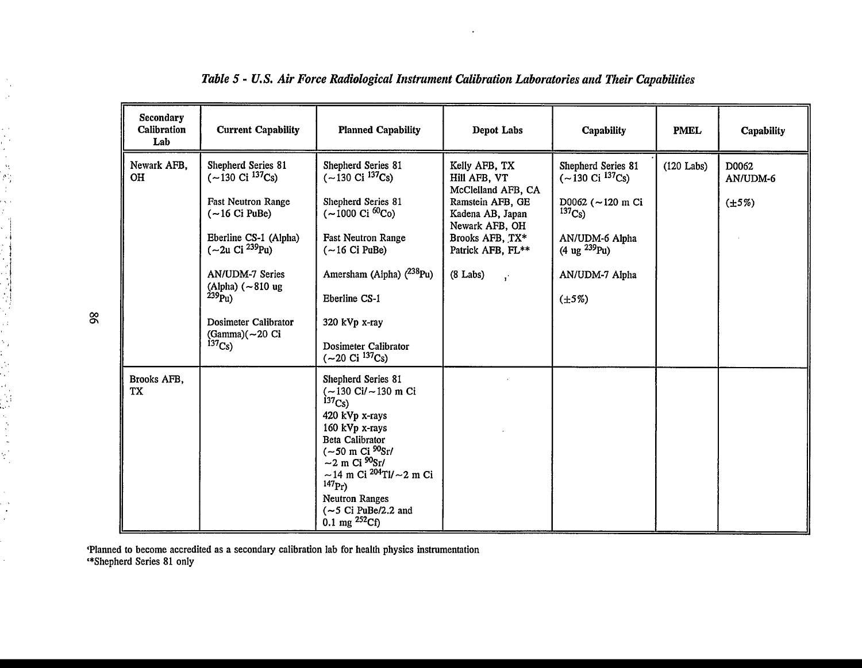| <b>Secondary</b><br>Calibration<br>Lab | <b>Current Capability</b>                                                                                                                                                                                                                                                                              | <b>Planned Capability</b>                                                                                                                                                                                                                                                                                                                        | Depot Labs                                                                                                                                                                                   | Capability                                                                                                                                                                                    | <b>PMEL</b>  | Capability                       |
|----------------------------------------|--------------------------------------------------------------------------------------------------------------------------------------------------------------------------------------------------------------------------------------------------------------------------------------------------------|--------------------------------------------------------------------------------------------------------------------------------------------------------------------------------------------------------------------------------------------------------------------------------------------------------------------------------------------------|----------------------------------------------------------------------------------------------------------------------------------------------------------------------------------------------|-----------------------------------------------------------------------------------------------------------------------------------------------------------------------------------------------|--------------|----------------------------------|
| Newark AFB,<br>OH                      | Shepherd Series 81<br>$(-130 \text{ Ci } ^{137}\text{Cs})$<br><b>Fast Neutron Range</b><br>$(-16$ Ci PuBe)<br>Eberline CS-1 (Alpha)<br>$(-2u)$ Ci $^{239}$ Pu)<br><b>AN/UDM-7 Series</b><br>(Alpha) $({\sim}810 \text{ ug})$<br>$^{239}$ Pu)<br>Dosimeter Calibrator<br>(Gamma)(~20 Ci<br>$^{137}Cs$ ) | Shepherd Series 81<br>$(-130 \text{ Ci } ^{137}\text{Cs})$<br>Shepherd Series 81<br>$(-1000 \text{ Ci } ^{60} \text{Co})$<br><b>Fast Neutron Range</b><br>$(-16 Ci$ PuBe)<br>Amersham (Alpha) $(^{238}Pu)$<br>Eberline CS-1<br>320 kVp x-ray<br>Dosimeter Calibrator<br>$(-20 \text{ Ci } ^{137}\text{Cs})$                                      | Kelly AFB, TX<br>Hill AFB, VT<br>McClelland AFB, CA<br>Ramstein AFB, GE<br>Kadena AB, Japan<br>Newark AFB, OH<br>Brooks AFB, TX*<br>Patrick AFB, FL**<br>$(8$ Labs)<br>$\mathbf{r}^{\prime}$ | Shepherd Series 81<br>$(-130 \text{ Ci } ^{137}\text{Cs})$<br>D0062 ( $\sim$ 120 m Ci<br>$^{137}Cs$ )<br>AN/UDM-6 Alpha<br>$(4 \text{ ug } ^{239}\text{Pu})$<br>AN/UDM-7 Alpha<br>$(\pm 5\%)$ | $(120$ Labs) | D0062<br>AN/UDM-6<br>$(\pm 5\%)$ |
| Brooks AFB,<br>TX                      |                                                                                                                                                                                                                                                                                                        | Shepherd Series 81<br>$(-130 \text{ Ci}/ \sim 130 \text{ m Ci})$<br>$^{137}Cs$ )<br>420 kVp x-rays<br>160 kVp x-rays<br>Beta Calibrator<br>$(-50 \text{ m Ci } ^{90}\text{Sr})$<br>$\sim$ 2 m Ci $^{90}$ Sr/<br>$\sim$ 14 m Ci $^{204}$ Tl/ $\sim$ 2 m Ci<br>$^{147}Pr$<br><b>Neutron Ranges</b><br>$(-5$ Ci PuBe/2.2 and<br>0.1 mg $^{252}$ Cf) |                                                                                                                                                                                              |                                                                                                                                                                                               |              |                                  |

# *Table 5* - *U.S. Air Force Radiological Instrument Calibration Laboratories and Their Capabilities*

**'Planned to become accredited as a secondary calibration lab for health physics instrumentation '♦Shepherd Series 81 only**

00*a\*

 $\lambda$  $\sim$  $\ddot{\phantom{a}}$ 

化石油酸去氢 计非计算 经保险货币

にんてん 高い くさくさん

 $\frac{1}{2}$ 

 $\mathcal{L}_{\mathcal{A}}$